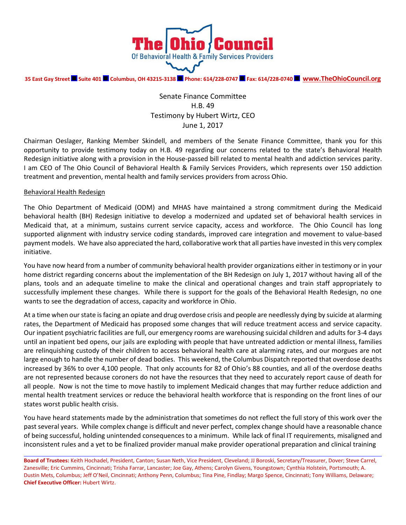

**35 East Gay Street Suite 401 Columbus, OH 43215-3138 Phone: 614/228-0747 Fax: 614/228-0740 [www.TheOhioCouncil.org](http://www.theohiocouncil.org/)**

Senate Finance Committee H.B. 49 Testimony by Hubert Wirtz, CEO June 1, 2017

Chairman Oeslager, Ranking Member Skindell, and members of the Senate Finance Committee, thank you for this opportunity to provide testimony today on H.B. 49 regarding our concerns related to the state's Behavioral Health Redesign initiative along with a provision in the House-passed bill related to mental health and addiction services parity. I am CEO of The Ohio Council of Behavioral Health & Family Services Providers, which represents over 150 addiction treatment and prevention, mental health and family services providers from across Ohio.

## Behavioral Health Redesign

The Ohio Department of Medicaid (ODM) and MHAS have maintained a strong commitment during the Medicaid behavioral health (BH) Redesign initiative to develop a modernized and updated set of behavioral health services in Medicaid that, at a minimum, sustains current service capacity, access and workforce. The Ohio Council has long supported alignment with industry service coding standards, improved care integration and movement to value-based payment models. We have also appreciated the hard, collaborative work that all parties have invested in this very complex initiative.

You have now heard from a number of community behavioral health provider organizations either in testimony or in your home district regarding concerns about the implementation of the BH Redesign on July 1, 2017 without having all of the plans, tools and an adequate timeline to make the clinical and operational changes and train staff appropriately to successfully implement these changes. While there is support for the goals of the Behavioral Health Redesign, no one wants to see the degradation of access, capacity and workforce in Ohio.

At a time when our state is facing an opiate and drug overdose crisis and people are needlessly dying by suicide at alarming rates, the Department of Medicaid has proposed some changes that will reduce treatment access and service capacity. Our inpatient psychiatric facilities are full, our emergency rooms are warehousing suicidal children and adults for 3-4 days until an inpatient bed opens, our jails are exploding with people that have untreated addiction or mental illness, families are relinquishing custody of their children to access behavioral health care at alarming rates, and our morgues are not large enough to handle the number of dead bodies. This weekend, the Columbus Dispatch reported that overdose deaths increased by 36% to over 4,100 people. That only accounts for 82 of Ohio's 88 counties, and all of the overdose deaths are not represented because coroners do not have the resources that they need to accurately report cause of death for all people. Now is not the time to move hastily to implement Medicaid changes that may further reduce addiction and mental health treatment services or reduce the behavioral health workforce that is responding on the front lines of our states worst public health crisis.

You have heard statements made by the administration that sometimes do not reflect the full story of this work over the past several years. While complex change is difficult and never perfect, complex change should have a reasonable chance of being successful, holding unintended consequences to a minimum. While lack of final IT requirements, misaligned and inconsistent rules and a yet to be finalized provider manual make provider operational preparation and clinical training

**Board of Trustees:** Keith Hochadel, President, Canton; Susan Neth, Vice President, Cleveland; JJ Boroski, Secretary/Treasurer, Dover; Steve Carrel, Zanesville; Eric Cummins, Cincinnati; Trisha Farrar, Lancaster; Joe Gay, Athens; Carolyn Givens, Youngstown; Cynthia Holstein, Portsmouth; A. Dustin Mets, Columbus; Jeff O'Neil, Cincinnati; Anthony Penn, Columbus; Tina Pine, Findlay; Margo Spence, Cincinnati; Tony Williams, Delaware; **Chief Executive Officer:** Hubert Wirtz.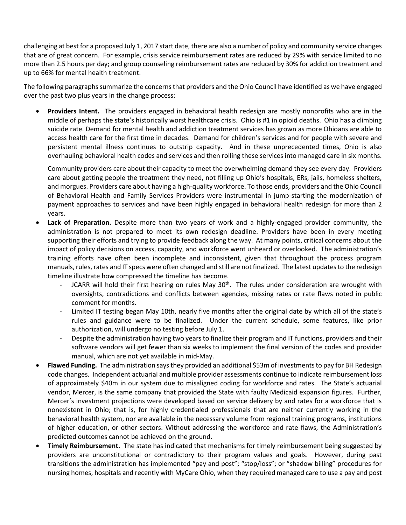challenging at best for a proposed July 1, 2017 start date, there are also a number of policy and community service changes that are of great concern. For example, crisis service reimbursement rates are reduced by 29% with service limited to no more than 2.5 hours per day; and group counseling reimbursement rates are reduced by 30% for addiction treatment and up to 66% for mental health treatment.

The following paragraphs summarize the concerns that providers and the Ohio Council have identified as we have engaged over the past two plus years in the change process:

 **Providers Intent.** The providers engaged in behavioral health redesign are mostly nonprofits who are in the middle of perhaps the state's historically worst healthcare crisis. Ohio is #1 in opioid deaths. Ohio has a climbing suicide rate. Demand for mental health and addiction treatment services has grown as more Ohioans are able to access health care for the first time in decades. Demand for children's services and for people with severe and persistent mental illness continues to outstrip capacity. And in these unprecedented times, Ohio is also overhauling behavioral health codes and services and then rolling these services into managed care in six months.

Community providers care about their capacity to meet the overwhelming demand they see every day. Providers care about getting people the treatment they need, not filling up Ohio's hospitals, ERs, jails, homeless shelters, and morgues. Providers care about having a high-quality workforce. To those ends, providers and the Ohio Council of Behavioral Health and Family Services Providers were instrumental in jump-starting the modernization of payment approaches to services and have been highly engaged in behavioral health redesign for more than 2 years.

- **Lack of Preparation.** Despite more than two years of work and a highly-engaged provider community, the administration is not prepared to meet its own redesign deadline. Providers have been in every meeting supporting their efforts and trying to provide feedback along the way. At many points, critical concerns about the impact of policy decisions on access, capacity, and workforce went unheard or overlooked. The administration's training efforts have often been incomplete and inconsistent, given that throughout the process program manuals, rules, rates and IT specs were often changed and still are not finalized. The latest updates to the redesign timeline illustrate how compressed the timeline has become.
	- JCARR will hold their first hearing on rules May 30<sup>th</sup>. The rules under consideration are wrought with oversights, contradictions and conflicts between agencies, missing rates or rate flaws noted in public comment for months.
	- Limited IT testing began May 10th, nearly five months after the original date by which all of the state's rules and guidance were to be finalized. Under the current schedule, some features, like prior authorization, will undergo no testing before July 1.
	- Despite the administration having two years to finalize their program and IT functions, providers and their software vendors will get fewer than six weeks to implement the final version of the codes and provider manual, which are not yet available in mid-May.
- **Flawed Funding.** The administration says they provided an additional \$53m of investments to pay for BH Redesign code changes. Independent actuarial and multiple provider assessments continue to indicate reimbursement loss of approximately \$40m in our system due to misaligned coding for workforce and rates. The State's actuarial vendor, Mercer, is the same company that provided the State with faulty Medicaid expansion figures. Further, Mercer's investment projections were developed based on service delivery by and rates for a workforce that is nonexistent in Ohio; that is, for highly credentialed professionals that are neither currently working in the behavioral health system, nor are available in the necessary volume from regional training programs, institutions of higher education, or other sectors. Without addressing the workforce and rate flaws, the Administration's predicted outcomes cannot be achieved on the ground.
- **Timely Reimbursement.** The state has indicated that mechanisms for timely reimbursement being suggested by providers are unconstitutional or contradictory to their program values and goals. However, during past transitions the administration has implemented "pay and post"; "stop/loss"; or "shadow billing" procedures for nursing homes, hospitals and recently with MyCare Ohio, when they required managed care to use a pay and post